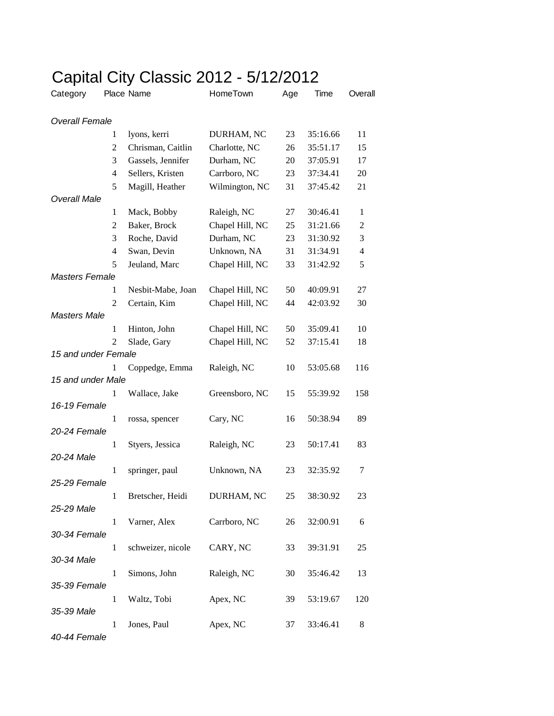|                       |   | Gapildi Gity Giassic ZUTZ - 3/ IZ/ZUTZ |                 |     |          |                |
|-----------------------|---|----------------------------------------|-----------------|-----|----------|----------------|
| Category              |   | Place Name                             | HomeTown        | Age | Time     | Overall        |
| <b>Overall Female</b> |   |                                        |                 |     |          |                |
|                       | 1 | lyons, kerri                           | DURHAM, NC      | 23  | 35:16.66 | 11             |
|                       | 2 | Chrisman, Caitlin                      | Charlotte, NC   | 26  | 35:51.17 | 15             |
|                       | 3 | Gassels, Jennifer                      | Durham, NC      | 20  | 37:05.91 | 17             |
|                       | 4 | Sellers, Kristen                       | Carrboro, NC    | 23  | 37:34.41 | 20             |
|                       | 5 | Magill, Heather                        | Wilmington, NC  | 31  | 37:45.42 | 21             |
| <b>Overall Male</b>   |   |                                        |                 |     |          |                |
|                       | 1 | Mack, Bobby                            | Raleigh, NC     | 27  | 30:46.41 | $\mathbf{1}$   |
|                       | 2 | Baker, Brock                           | Chapel Hill, NC | 25  | 31:21.66 | $\overline{c}$ |
|                       | 3 | Roche, David                           | Durham, NC      | 23  | 31:30.92 | 3              |
|                       | 4 | Swan, Devin                            | Unknown, NA     | 31  | 31:34.91 | $\overline{4}$ |
|                       | 5 | Jeuland, Marc                          | Chapel Hill, NC | 33  | 31:42.92 | 5              |
| <b>Masters Female</b> |   |                                        |                 |     |          |                |
|                       | 1 | Nesbit-Mabe, Joan                      | Chapel Hill, NC | 50  | 40:09.91 | 27             |
|                       | 2 | Certain, Kim                           | Chapel Hill, NC | 44  | 42:03.92 | 30             |
| <b>Masters Male</b>   |   |                                        |                 |     |          |                |
|                       | 1 | Hinton, John                           | Chapel Hill, NC | 50  | 35:09.41 | 10             |
|                       | 2 | Slade, Gary                            | Chapel Hill, NC | 52  | 37:15.41 | 18             |
| 15 and under Female   |   |                                        |                 |     |          |                |
|                       | 1 | Coppedge, Emma                         | Raleigh, NC     | 10  | 53:05.68 | 116            |
| 15 and under Male     |   |                                        |                 |     |          |                |
|                       | 1 | Wallace, Jake                          | Greensboro, NC  | 15  | 55:39.92 | 158            |
| 16-19 Female          |   |                                        |                 |     |          |                |
|                       | 1 | rossa, spencer                         | Cary, NC        | 16  | 50:38.94 | 89             |
| 20-24 Female          |   |                                        |                 |     |          |                |
|                       | 1 | Styers, Jessica                        | Raleigh, NC     | 23  | 50:17.41 | 83             |
| 20-24 Male            |   |                                        |                 |     |          |                |
|                       | 1 | springer, paul                         | Unknown, NA     | 23  | 32:35.92 | 7              |
| 25-29 Female          |   |                                        |                 |     |          |                |
|                       | 1 | Bretscher, Heidi                       | DURHAM, NC      | 25  | 38:30.92 | 23             |
| 25-29 Male            |   |                                        |                 |     |          |                |
|                       | 1 | Varner, Alex                           | Carrboro, NC    | 26  | 32:00.91 | 6              |
| 30-34 Female          |   |                                        |                 |     |          |                |
|                       | 1 | schweizer, nicole                      | CARY, NC        | 33  | 39:31.91 | 25             |
| 30-34 Male            |   |                                        |                 |     |          |                |
|                       | 1 | Simons, John                           | Raleigh, NC     | 30  | 35:46.42 | 13             |
| 35-39 Female          |   |                                        |                 |     |          |                |
|                       | 1 | Waltz, Tobi                            | Apex, NC        | 39  | 53:19.67 | 120            |
| 35-39 Male            |   |                                        |                 |     |          |                |
| 10.11 Eomalo          | 1 | Jones, Paul                            | Apex, NC        | 37  | 33:46.41 | 8              |
|                       |   |                                        |                 |     |          |                |

## Capital City Classic 2012 - 5/12/2012

*40-44 Female*